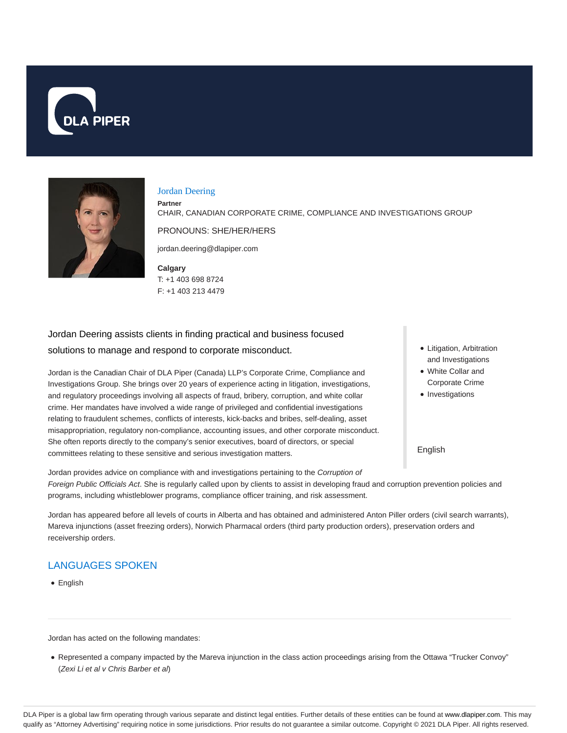



#### Jordan Deering

**Partner**

CHAIR, CANADIAN CORPORATE CRIME, COMPLIANCE AND INVESTIGATIONS GROUP

PRONOUNS: SHE/HER/HERS

jordan.deering@dlapiper.com

**Calgary** T: +1 403 698 8724 F: +1 403 213 4479

Jordan Deering assists clients in finding practical and business focused solutions to manage and respond to corporate misconduct.

Jordan is the Canadian Chair of DLA Piper (Canada) LLP's Corporate Crime, Compliance and Investigations Group. She brings over 20 years of experience acting in litigation, investigations, and regulatory proceedings involving all aspects of fraud, bribery, corruption, and white collar crime. Her mandates have involved a wide range of privileged and confidential investigations relating to fraudulent schemes, conflicts of interests, kick-backs and bribes, self-dealing, asset misappropriation, regulatory non-compliance, accounting issues, and other corporate misconduct. She often reports directly to the company's senior executives, board of directors, or special committees relating to these sensitive and serious investigation matters.

- Litigation, Arbitration and Investigations
- White Collar and Corporate Crime
- Investigations

English

Jordan provides advice on compliance with and investigations pertaining to the Corruption of Foreign Public Officials Act. She is regularly called upon by clients to assist in developing fraud and corruption prevention policies and programs, including whistleblower programs, compliance officer training, and risk assessment.

Jordan has appeared before all levels of courts in Alberta and has obtained and administered Anton Piller orders (civil search warrants), Mareva injunctions (asset freezing orders), Norwich Pharmacal orders (third party production orders), preservation orders and receivership orders.

# LANGUAGES SPOKEN

English

Jordan has acted on the following mandates:

Represented a company impacted by the Mareva injunction in the class action proceedings arising from the Ottawa "Trucker Convoy" (Zexi Li et al v Chris Barber et al)

DLA Piper is a global law firm operating through various separate and distinct legal entities. Further details of these entities can be found at www.dlapiper.com. This may qualify as "Attorney Advertising" requiring notice in some jurisdictions. Prior results do not guarantee a similar outcome. Copyright © 2021 DLA Piper. All rights reserved.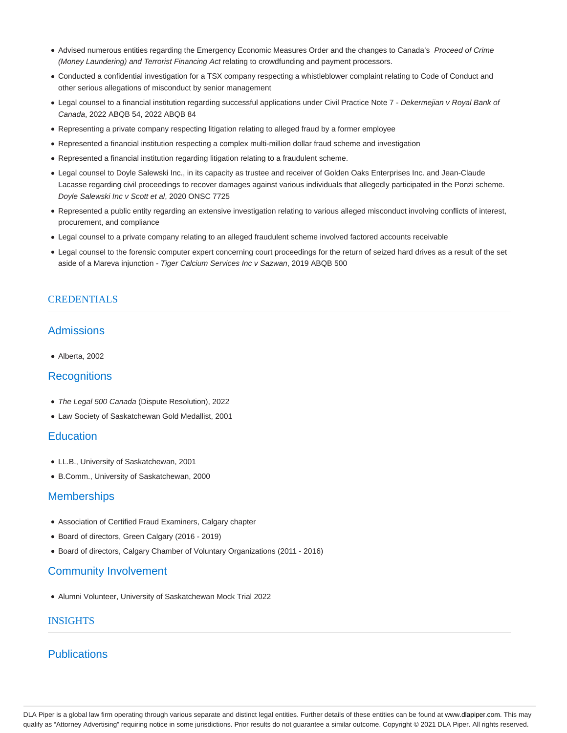- Advised numerous entities regarding the Emergency Economic Measures Order and the changes to Canada's Proceed of Crime (Money Laundering) and Terrorist Financing Act relating to crowdfunding and payment processors.
- Conducted a confidential investigation for a TSX company respecting a whistleblower complaint relating to Code of Conduct and other serious allegations of misconduct by senior management
- Legal counsel to a financial institution regarding successful applications under Civil Practice Note 7 Dekermejian v Royal Bank of Canada, 2022 ABQB 54, 2022 ABQB 84
- Representing a private company respecting litigation relating to alleged fraud by a former employee
- Represented a financial institution respecting a complex multi-million dollar fraud scheme and investigation
- Represented a financial institution regarding litigation relating to a fraudulent scheme.
- Legal counsel to Doyle Salewski Inc., in its capacity as trustee and receiver of Golden Oaks Enterprises Inc. and Jean-Claude Lacasse regarding civil proceedings to recover damages against various individuals that allegedly participated in the Ponzi scheme. Doyle Salewski Inc v Scott et al, 2020 ONSC 7725
- Represented a public entity regarding an extensive investigation relating to various alleged misconduct involving conflicts of interest, procurement, and compliance
- Legal counsel to a private company relating to an alleged fraudulent scheme involved factored accounts receivable
- Legal counsel to the forensic computer expert concerning court proceedings for the return of seized hard drives as a result of the set aside of a Mareva injunction - Tiger Calcium Services Inc v Sazwan, 2019 ABQB 500

### **CREDENTIALS**

# Admissions

Alberta, 2002

# **Recognitions**

- The Legal 500 Canada (Dispute Resolution), 2022
- Law Society of Saskatchewan Gold Medallist, 2001

### **Education**

- LL.B., University of Saskatchewan, 2001
- B.Comm., University of Saskatchewan, 2000

### **Memberships**

- Association of Certified Fraud Examiners, Calgary chapter
- Board of directors, Green Calgary (2016 2019)
- Board of directors, Calgary Chamber of Voluntary Organizations (2011 2016)

### Community Involvement

Alumni Volunteer, University of Saskatchewan Mock Trial 2022

### INSIGHTS

# **Publications**

DLA Piper is a global law firm operating through various separate and distinct legal entities. Further details of these entities can be found at www.dlapiper.com. This may qualify as "Attorney Advertising" requiring notice in some jurisdictions. Prior results do not guarantee a similar outcome. Copyright © 2021 DLA Piper. All rights reserved.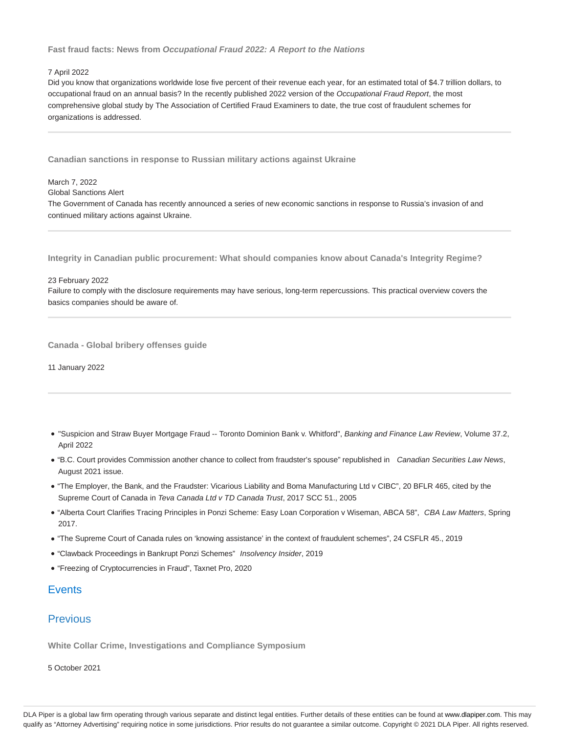### **Fast fraud facts: News from Occupational Fraud 2022: A Report to the Nations**

#### 7 April 2022

March 7, 2022

Did you know that organizations worldwide lose five percent of their revenue each year, for an estimated total of \$4.7 trillion dollars, to occupational fraud on an annual basis? In the recently published 2022 version of the Occupational Fraud Report, the most comprehensive global study by The Association of Certified Fraud Examiners to date, the true cost of fraudulent schemes for organizations is addressed.

**Canadian sanctions in response to Russian military actions against Ukraine**

Global Sanctions Alert The Government of Canada has recently announced a series of new economic sanctions in response to Russia's invasion of and continued military actions against Ukraine.

**Integrity in Canadian public procurement: What should companies know about Canada's Integrity Regime?**

23 February 2022

Failure to comply with the disclosure requirements may have serious, long-term repercussions. This practical overview covers the basics companies should be aware of.

**Canada - Global bribery offenses guide**

11 January 2022

- . "Suspicion and Straw Buyer Mortgage Fraud -- Toronto Dominion Bank v. Whitford", Banking and Finance Law Review, Volume 37.2, April 2022
- "B.C. Court provides Commission another chance to collect from fraudster's spouse" republished in Canadian Securities Law News, August 2021 issue.
- "The Employer, the Bank, and the Fraudster: Vicarious Liability and Boma Manufacturing Ltd v CIBC", 20 BFLR 465, cited by the Supreme Court of Canada in Teva Canada Ltd v TD Canada Trust, 2017 SCC 51., 2005
- . "Alberta Court Clarifies Tracing Principles in Ponzi Scheme: Easy Loan Corporation v Wiseman, ABCA 58", CBA Law Matters, Spring 2017.
- "The Supreme Court of Canada rules on 'knowing assistance' in the context of fraudulent schemes", 24 CSFLR 45., 2019
- "Clawback Proceedings in Bankrupt Ponzi Schemes" Insolvency Insider, 2019
- "Freezing of Cryptocurrencies in Fraud", Taxnet Pro, 2020

## **Events**

## **Previous**

**White Collar Crime, Investigations and Compliance Symposium**

5 October 2021